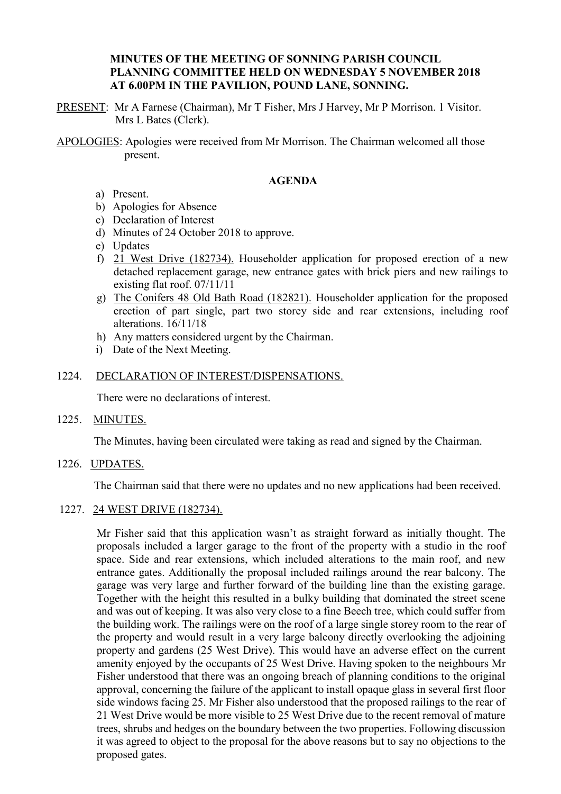### **MINUTES OF THE MEETING OF SONNING PARISH COUNCIL PLANNING COMMITTEE HELD ON WEDNESDAY 5 NOVEMBER 2018 AT 6.00PM IN THE PAVILION, POUND LANE, SONNING.**

PRESENT: Mr A Farnese (Chairman), Mr T Fisher, Mrs J Harvey, Mr P Morrison. 1 Visitor. Mrs L Bates (Clerk).

APOLOGIES: Apologies were received from Mr Morrison. The Chairman welcomed all those present.

### **AGENDA**

- a) Present.
- b) Apologies for Absence
- c) Declaration of Interest
- d) Minutes of 24 October 2018 to approve.
- e) Updates
- f) 21 West Drive (182734). Householder application for proposed erection of a new detached replacement garage, new entrance gates with brick piers and new railings to existing flat roof. 07/11/11
- g) The Conifers 48 Old Bath Road (182821). Householder application for the proposed erection of part single, part two storey side and rear extensions, including roof alterations. 16/11/18
- h) Any matters considered urgent by the Chairman.
- i) Date of the Next Meeting.

#### 1224. DECLARATION OF INTEREST/DISPENSATIONS.

There were no declarations of interest.

1225. MINUTES.

The Minutes, having been circulated were taking as read and signed by the Chairman.

1226. UPDATES.

The Chairman said that there were no updates and no new applications had been received.

1227. 24 WEST DRIVE (182734).

Mr Fisher said that this application wasn't as straight forward as initially thought. The proposals included a larger garage to the front of the property with a studio in the roof space. Side and rear extensions, which included alterations to the main roof, and new entrance gates. Additionally the proposal included railings around the rear balcony. The garage was very large and further forward of the building line than the existing garage. Together with the height this resulted in a bulky building that dominated the street scene and was out of keeping. It was also very close to a fine Beech tree, which could suffer from the building work. The railings were on the roof of a large single storey room to the rear of the property and would result in a very large balcony directly overlooking the adjoining property and gardens (25 West Drive). This would have an adverse effect on the current amenity enjoyed by the occupants of 25 West Drive. Having spoken to the neighbours Mr Fisher understood that there was an ongoing breach of planning conditions to the original approval, concerning the failure of the applicant to install opaque glass in several first floor side windows facing 25. Mr Fisher also understood that the proposed railings to the rear of 21 West Drive would be more visible to 25 West Drive due to the recent removal of mature trees, shrubs and hedges on the boundary between the two properties. Following discussion it was agreed to object to the proposal for the above reasons but to say no objections to the proposed gates.